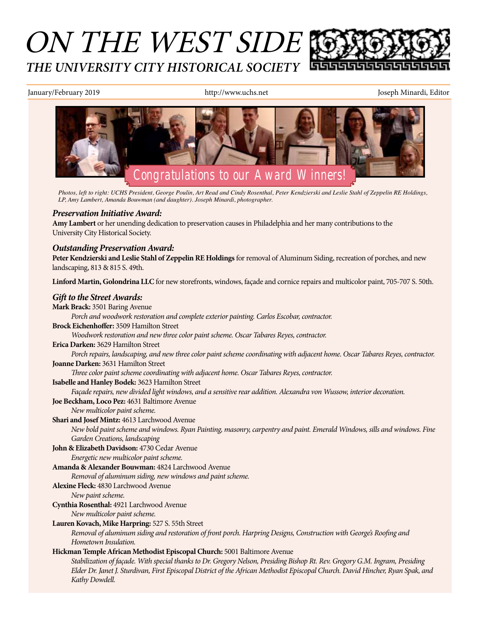# ON THE WEST SIDE *THE UNIVERSITY CITY HISTORICAL SOCIETY*

January/February 2019 http://www.uchs.net Joseph Minardi, Editor



*Photos, left to right: UCHS President, George Poulin, Art Read and Cindy Rosenthal, Peter Kendzierski and Leslie Stahl of Zeppelin RE Holdings, LP, Amy Lambert, Amanda Bouwman (and daughter). Joseph Minardi, photographer.* 

### *Preservation Initiative Award:*

**Amy Lambert** or her unending dedication to preservation causes in Philadelphia and her many contributions to the University City Historical Society.

### *Outstanding Preservation Award:*

**Peter Kendzierski and Leslie Stahl of Zeppelin RE Holdings** for removal of Aluminum Siding, recreation of porches, and new landscaping, 813 & 815 S. 49th.

**Linford Martin, Golondrina LLC** for new storefronts, windows, façade and cornice repairs and multicolor paint, 705-707 S. 50th.

### *Gift to the Street Awards:*

**Mark Brack:** 3501 Baring Avenue *Porch and woodwork restoration and complete exterior painting. Carlos Escobar, contractor.* **Brock Eichenhoffer:** 3509 Hamilton Street *Woodwork restoration and new three color paint scheme. Oscar Tabares Reyes, contractor.* **Erica Darken:** 3629 Hamilton Street *Porch repairs, landscaping, and new three color paint scheme coordinating with adjacent home. Oscar Tabares Reyes, contractor.* **Joanne Darken:** 3631 Hamilton Street *Three color paint scheme coordinating with adjacent home. Oscar Tabares Reyes, contractor.* **Isabelle and Hanley Bodek:** 3623 Hamilton Street *Façade repairs, new divided light windows, and a sensitive rear addition. Alexandra von Wussow, interior decoration.* **Joe Beckham, Loco Pez:** 4631 Baltimore Avenue *New multicolor paint scheme.* **Shari and Josef Mintz:** 4613 Larchwood Avenue *New bold paint scheme and windows. Ryan Painting, masonry, carpentry and paint. Emerald Windows, sills and windows. Fine Garden Creations, landscaping* **John & Elizabeth Davidson:** 4730 Cedar Avenue *Energetic new multicolor paint scheme.* **Amanda & Alexander Bouwman:** 4824 Larchwood Avenue *Removal of aluminum siding, new windows and paint scheme.* **Alexine Fleck:** 4830 Larchwood Avenue *New paint scheme.* **Cynthia Rosenthal:** 4921 Larchwood Avenue *New multicolor paint scheme.* **Lauren Kovach, Mike Harpring:** 527 S. 55th Street *Removal of aluminum siding and restoration of front porch. Harpring Designs, Construction with George's Roofing and Hometown Insulation.* **Hickman Temple African Methodist Episcopal Church:** 5001 Baltimore Avenue *Stabilization of façade. With special thanks to Dr. Gregory Nelson, Presiding Bishop Rt. Rev. Gregory G.M. Ingram, Presiding Elder Dr. Janet J. Sturdivan, First Episcopal District of the African Methodist Episcopal Church. David Hincher, Ryan Spak, and Kathy Dowdell.*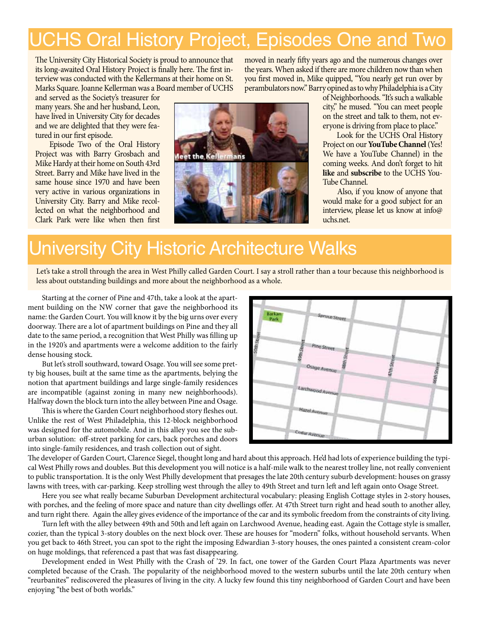# UCHS Oral History Project, Episodes One and Two

The University City Historical Society is proud to announce that its long-awaited Oral History Project is finally here. The first interview was conducted with the Kellermans at their home on St. Marks Square. Joanne Kellerman was a Board member of UCHS

and served as the Society's treasurer for many years. She and her husband, Leon, have lived in University City for decades and we are delighted that they were featured in our first episode.

Episode Two of the Oral History Project was with Barry Grosbach and Mike Hardy at their home on South 43rd Street. Barry and Mike have lived in the same house since 1970 and have been very active in various organizations in University City. Barry and Mike recollected on what the neighborhood and Clark Park were like when then first



moved in nearly fifty years ago and the numerous changes over the years. When asked if there are more children now than when you first moved in, Mike quipped, "You nearly get run over by perambulators now." Barry opined as to why Philadelphia is a City

> of Neighborhoods. "It's such a walkable city," he mused. "You can meet people on the street and talk to them, not everyone is driving from place to place."

> Look for the UCHS Oral History Project on our **YouTube Channel** (Yes! We have a YouTube Channel) in the coming weeks. And don't forget to hit **like** and **subscribe** to the UCHS You-Tube Channel.

> Also, if you know of anyone that would make for a good subject for an interview, please let us know at info@ uchs.net.

# University City Historic Architecture Walks

Let's take a stroll through the area in West Philly called Garden Court. I say a stroll rather than a tour because this neighborhood is less about outstanding buildings and more about the neighborhood as a whole.

Starting at the corner of Pine and 47th, take a look at the apartment building on the NW corner that gave the neighborhood its name: the Garden Court. You will know it by the big urns over every doorway. There are a lot of apartment buildings on Pine and they all date to the same period, a recognition that West Philly was filling up in the 1920's and apartments were a welcome addition to the fairly dense housing stock.

But let's stroll southward, toward Osage. You will see some pretty big houses, built at the same time as the apartments, belying the notion that apartment buildings and large single-family residences are incompatible (against zoning in many new neighborhoods). Halfway down the block turn into the alley between Pine and Osage.

This is where the Garden Court neighborhood story fleshes out. Unlike the rest of West Philadelphia, this 12-block neighborhood was designed for the automobile. And in this alley you see the suburban solution: off-street parking for cars, back porches and doors into single-family residences, and trash collection out of sight.



The developer of Garden Court, Clarence Siegel, thought long and hard about this approach. He'd had lots of experience building the typical West Philly rows and doubles. But this development you will notice is a half-mile walk to the nearest trolley line, not really convenient to public transportation. It is the only West Philly development that presages the late 20th century suburb development: houses on grassy lawns with trees, with car-parking. Keep strolling west through the alley to 49th Street and turn left and left again onto Osage Street.

Here you see what really became Suburban Development architectural vocabulary: pleasing English Cottage styles in 2-story houses, with porches, and the feeling of more space and nature than city dwellings offer. At 47th Street turn right and head south to another alley, and turn right there. Again the alley gives evidence of the importance of the car and its symbolic freedom from the constraints of city living.

Turn left with the alley between 49th and 50th and left again on Larchwood Avenue, heading east. Again the Cottage style is smaller, cozier, than the typical 3-story doubles on the next block over. These are houses for "modern" folks, without household servants. When you get back to 46th Street, you can spot to the right the imposing Edwardian 3-story houses, the ones painted a consistent cream-color on huge moldings, that referenced a past that was fast disappearing.

Development ended in West Philly with the Crash of '29. In fact, one tower of the Garden Court Plaza Apartments was never completed because of the Crash. The popularity of the neighborhood moved to the western suburbs until the late 20th century when "reurbanites" rediscovered the pleasures of living in the city. A lucky few found this tiny neighborhood of Garden Court and have been enjoying "the best of both worlds."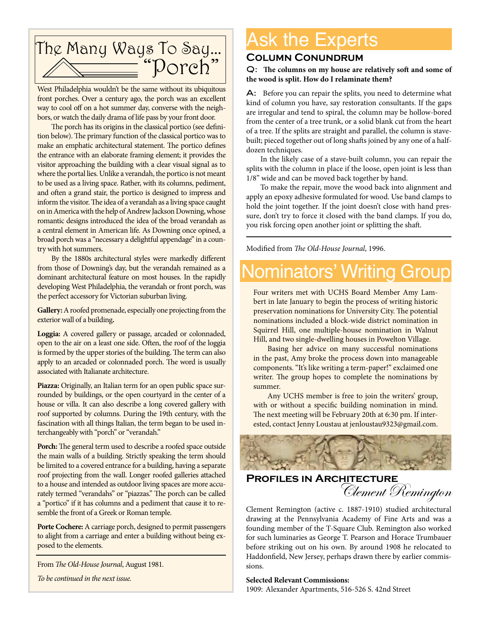

West Philadelphia wouldn't be the same without its ubiquitous front porches. Over a century ago, the porch was an excellent way to cool off on a hot summer day, converse with the neighbors, or watch the daily drama of life pass by your front door.

The porch has its origins in the classical portico (see definition below). The primary function of the classical portico was to make an emphatic architectural statement. The portico defines the entrance with an elaborate framing element; it provides the visitor approaching the building with a clear visual signal as to where the portal lies. Unlike a verandah, the portico is not meant to be used as a living space. Rather, with its columns, pediment, and often a grand stair, the portico is designed to impress and inform the visitor. The idea of a verandah as a living space caught on in America with the help of Andrew Jackson Downing, whose romantic designs introduced the idea of the broad verandah as a central element in American life. As Downing once opined, a broad porch was a "necessary a delightful appendage" in a country with hot summers.

By the 1880s architectural styles were markedly different from those of Downing's day, but the verandah remained as a dominant architectural feature on most houses. In the rapidly developing West Philadelphia, the verandah or front porch, was the perfect accessory for Victorian suburban living.

**Gallery:** A roofed promenade, especially one projecting from the exterior wall of a building**.**

**Loggia:** A covered gallery or passage, arcaded or colonnaded, open to the air on a least one side. Often, the roof of the loggia is formed by the upper stories of the building. The term can also apply to an arcaded or colonnaded porch. The word is usually associated with Italianate architecture.

**Piazza:** Originally, an Italian term for an open public space surrounded by buildings, or the open courtyard in the center of a house or villa. It can also describe a long covered gallery with roof supported by columns. During the 19th century, with the fascination with all things Italian, the term began to be used interchangeably with "porch" or "verandah."

**Porch:** The general term used to describe a roofed space outside the main walls of a building. Strictly speaking the term should be limited to a covered entrance for a building, having a separate roof projecting from the wall. Longer roofed galleries attached to a house and intended as outdoor living spaces are more accurately termed "verandahs" or "piazzas." The porch can be called a "portico" if it has columns and a pediment that cause it to resemble the front of a Greek or Roman temple.

**Porte Cochere:** A carriage porch, designed to permit passengers to alight from a carriage and enter a building without being exposed to the elements.

From *The Old-House Journal*, August 1981*.*

*To be continued in the next issue.*

# Ask the Experts

### **Column Conundrum**

Q: **The columns on my house are relatively soft and some of the wood is split. How do I relaminate them?**

A: Before you can repair the splits, you need to determine what kind of column you have, say restoration consultants. If the gaps are irregular and tend to spiral, the column may be hollow-bored from the center of a tree trunk, or a solid blank cut from the heart of a tree. If the splits are straight and parallel, the column is stavebuilt; pieced together out of long shafts joined by any one of a halfdozen techniques.

In the likely case of a stave-built column, you can repair the splits with the column in place if the loose, open joint is less than 1/8" wide and can be moved back together by hand.

To make the repair, move the wood back into alignment and apply an epoxy adhesive formulated for wood. Use band clamps to hold the joint together. If the joint doesn't close with hand pressure, don't try to force it closed with the band clamps. If you do, you risk forcing open another joint or splitting the shaft.

Modified from *The Old-House Journal*, 1996.

## ominators' Writing Group

Four writers met with UCHS Board Member Amy Lambert in late January to begin the process of writing historic preservation nominations for University City. The potential nominations included a block-wide district nomination in Squirrel Hill, one multiple-house nomination in Walnut Hill, and two single-dwelling houses in Powelton Village.

Basing her advice on many successful nominations in the past, Amy broke the process down into manageable components. "It's like writing a term-paper!" exclaimed one writer. The group hopes to complete the nominations by summer.

Any UCHS member is free to join the writers' group, with or without a specific building nomination in mind. The next meeting will be February 20th at 6:30 pm. If interested, contact Jenny Loustau at jenloustau9323@gmail.com.



### **Profiles in Architecture** Clement Remington

Clement Remington (active c. 1887-1910) studied architectural drawing at the Pennsylvania Academy of Fine Arts and was a founding member of the T-Square Club. Remington also worked for such luminaries as George T. Pearson and Horace Trumbauer before striking out on his own. By around 1908 he relocated to Haddonfield, New Jersey, perhaps drawn there by earlier commissions.

### **Selected Relevant Commissions:**

1909: Alexander Apartments, 516-526 S. 42nd Street